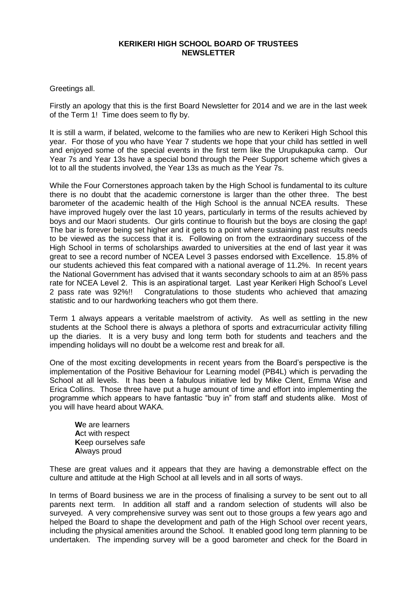## **KERIKERI HIGH SCHOOL BOARD OF TRUSTEES NEWSLETTER**

## Greetings all.

Firstly an apology that this is the first Board Newsletter for 2014 and we are in the last week of the Term 1! Time does seem to fly by.

It is still a warm, if belated, welcome to the families who are new to Kerikeri High School this year. For those of you who have Year 7 students we hope that your child has settled in well and enjoyed some of the special events in the first term like the Urupukapuka camp. Our Year 7s and Year 13s have a special bond through the Peer Support scheme which gives a lot to all the students involved, the Year 13s as much as the Year 7s.

While the Four Cornerstones approach taken by the High School is fundamental to its culture there is no doubt that the academic cornerstone is larger than the other three. The best barometer of the academic health of the High School is the annual NCEA results. These have improved hugely over the last 10 years, particularly in terms of the results achieved by boys and our Maori students. Our girls continue to flourish but the boys are closing the gap! The bar is forever being set higher and it gets to a point where sustaining past results needs to be viewed as the success that it is. Following on from the extraordinary success of the High School in terms of scholarships awarded to universities at the end of last year it was great to see a record number of NCEA Level 3 passes endorsed with Excellence. 15.8% of our students achieved this feat compared with a national average of 11.2%. In recent years the National Government has advised that it wants secondary schools to aim at an 85% pass rate for NCEA Level 2. This is an aspirational target. Last year Kerikeri High School's Level 2 pass rate was 92%!! Congratulations to those students who achieved that amazing statistic and to our hardworking teachers who got them there.

Term 1 always appears a veritable maelstrom of activity. As well as settling in the new students at the School there is always a plethora of sports and extracurricular activity filling up the diaries. It is a very busy and long term both for students and teachers and the impending holidays will no doubt be a welcome rest and break for all.

One of the most exciting developments in recent years from the Board's perspective is the implementation of the Positive Behaviour for Learning model (PB4L) which is pervading the School at all levels. It has been a fabulous initiative led by Mike Clent, Emma Wise and Erica Collins. Those three have put a huge amount of time and effort into implementing the programme which appears to have fantastic "buy in" from staff and students alike. Most of you will have heard about WAKA.

**W**e are learners **A**ct with respect **K**eep ourselves safe **A**lways proud

These are great values and it appears that they are having a demonstrable effect on the culture and attitude at the High School at all levels and in all sorts of ways.

In terms of Board business we are in the process of finalising a survey to be sent out to all parents next term. In addition all staff and a random selection of students will also be surveyed. A very comprehensive survey was sent out to those groups a few years ago and helped the Board to shape the development and path of the High School over recent years, including the physical amenities around the School. It enabled good long term planning to be undertaken. The impending survey will be a good barometer and check for the Board in